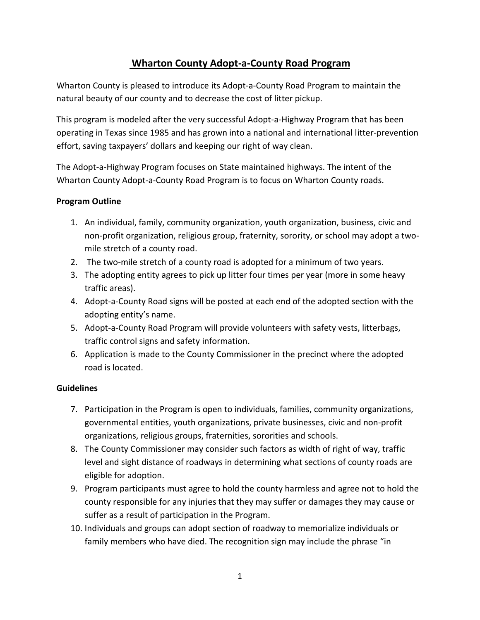# **Wharton County Adopt-a-County Road Program**

Wharton County is pleased to introduce its Adopt-a-County Road Program to maintain the natural beauty of our county and to decrease the cost of litter pickup.

This program is modeled after the very successful Adopt-a-Highway Program that has been operating in Texas since 1985 and has grown into a national and international litter-prevention effort, saving taxpayers' dollars and keeping our right of way clean.

The Adopt-a-Highway Program focuses on State maintained highways. The intent of the Wharton County Adopt-a-County Road Program is to focus on Wharton County roads.

### **Program Outline**

- 1. An individual, family, community organization, youth organization, business, civic and non-profit organization, religious group, fraternity, sorority, or school may adopt a twomile stretch of a county road.
- 2. The two-mile stretch of a county road is adopted for a minimum of two years.
- 3. The adopting entity agrees to pick up litter four times per year (more in some heavy traffic areas).
- 4. Adopt-a-County Road signs will be posted at each end of the adopted section with the adopting entity's name.
- 5. Adopt-a-County Road Program will provide volunteers with safety vests, litterbags, traffic control signs and safety information.
- 6. Application is made to the County Commissioner in the precinct where the adopted road is located.

# **Guidelines**

- 7. Participation in the Program is open to individuals, families, community organizations, governmental entities, youth organizations, private businesses, civic and non-profit organizations, religious groups, fraternities, sororities and schools.
- 8. The County Commissioner may consider such factors as width of right of way, traffic level and sight distance of roadways in determining what sections of county roads are eligible for adoption.
- 9. Program participants must agree to hold the county harmless and agree not to hold the county responsible for any injuries that they may suffer or damages they may cause or suffer as a result of participation in the Program.
- 10. Individuals and groups can adopt section of roadway to memorialize individuals or family members who have died. The recognition sign may include the phrase "in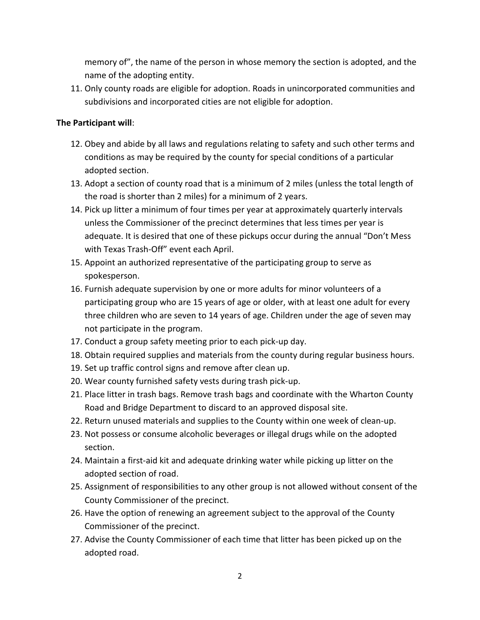memory of", the name of the person in whose memory the section is adopted, and the name of the adopting entity.

11. Only county roads are eligible for adoption. Roads in unincorporated communities and subdivisions and incorporated cities are not eligible for adoption.

## **The Participant will**:

- 12. Obey and abide by all laws and regulations relating to safety and such other terms and conditions as may be required by the county for special conditions of a particular adopted section.
- 13. Adopt a section of county road that is a minimum of 2 miles (unless the total length of the road is shorter than 2 miles) for a minimum of 2 years.
- 14. Pick up litter a minimum of four times per year at approximately quarterly intervals unless the Commissioner of the precinct determines that less times per year is adequate. It is desired that one of these pickups occur during the annual "Don't Mess with Texas Trash-Off" event each April.
- 15. Appoint an authorized representative of the participating group to serve as spokesperson.
- 16. Furnish adequate supervision by one or more adults for minor volunteers of a participating group who are 15 years of age or older, with at least one adult for every three children who are seven to 14 years of age. Children under the age of seven may not participate in the program.
- 17. Conduct a group safety meeting prior to each pick-up day.
- 18. Obtain required supplies and materials from the county during regular business hours.
- 19. Set up traffic control signs and remove after clean up.
- 20. Wear county furnished safety vests during trash pick-up.
- 21. Place litter in trash bags. Remove trash bags and coordinate with the Wharton County Road and Bridge Department to discard to an approved disposal site.
- 22. Return unused materials and supplies to the County within one week of clean-up.
- 23. Not possess or consume alcoholic beverages or illegal drugs while on the adopted section.
- 24. Maintain a first-aid kit and adequate drinking water while picking up litter on the adopted section of road.
- 25. Assignment of responsibilities to any other group is not allowed without consent of the County Commissioner of the precinct.
- 26. Have the option of renewing an agreement subject to the approval of the County Commissioner of the precinct.
- 27. Advise the County Commissioner of each time that litter has been picked up on the adopted road.